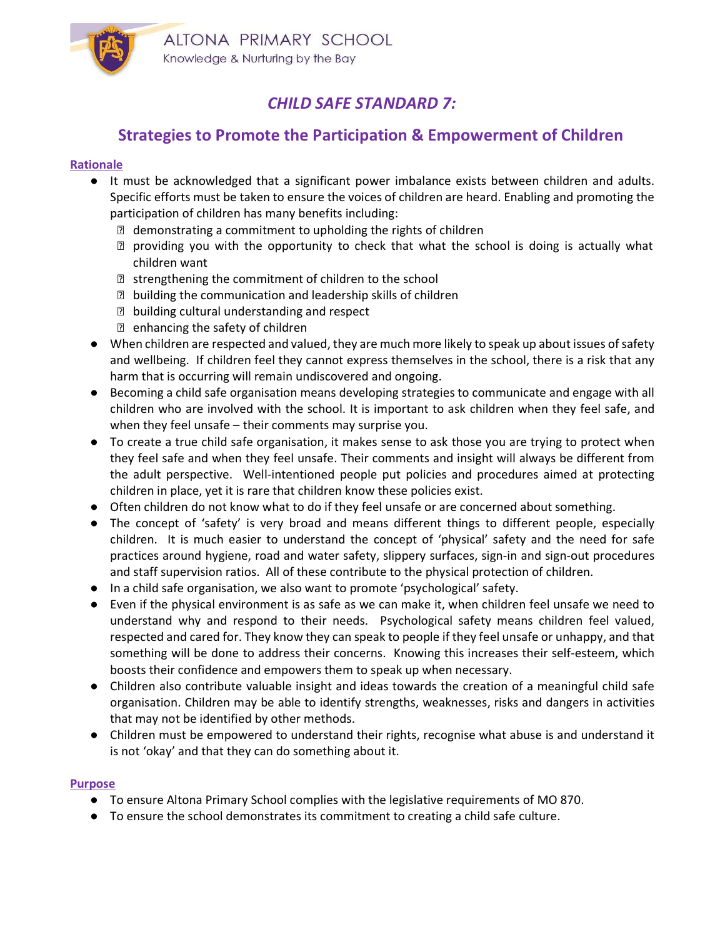

# CHILD SAFE STANDARD 7:

## Strategies to Promote the Participation & Empowerment of Children

### Rationale

- It must be acknowledged that a significant power imbalance exists between children and adults. Specific efforts must be taken to ensure the voices of children are heard. Enabling and promoting the participation of children has many benefits including:
	- demonstrating a commitment to upholding the rights of children
	- ⋅ providing you with the opportunity to check that what the school is doing is actually what children want
	- strengthening the commitment of children to the school
	- building the communication and leadership skills of children
	- building cultural understanding and respect
	- enhancing the safety of children
- When children are respected and valued, they are much more likely to speak up about issues of safety and wellbeing. If children feel they cannot express themselves in the school, there is a risk that any harm that is occurring will remain undiscovered and ongoing.
- Becoming a child safe organisation means developing strategies to communicate and engage with all children who are involved with the school. It is important to ask children when they feel safe, and when they feel unsafe – their comments may surprise you.
- To create a true child safe organisation, it makes sense to ask those you are trying to protect when they feel safe and when they feel unsafe. Their comments and insight will always be different from the adult perspective. Well-intentioned people put policies and procedures aimed at protecting children in place, yet it is rare that children know these policies exist.
- Often children do not know what to do if they feel unsafe or are concerned about something.
- The concept of 'safety' is very broad and means different things to different people, especially children. It is much easier to understand the concept of 'physical' safety and the need for safe practices around hygiene, road and water safety, slippery surfaces, sign-in and sign-out procedures and staff supervision ratios. All of these contribute to the physical protection of children.
- In a child safe organisation, we also want to promote 'psychological' safety.
- Even if the physical environment is as safe as we can make it, when children feel unsafe we need to understand why and respond to their needs. Psychological safety means children feel valued, respected and cared for. They know they can speak to people if they feel unsafe or unhappy, and that something will be done to address their concerns. Knowing this increases their self-esteem, which boosts their confidence and empowers them to speak up when necessary.
- Children also contribute valuable insight and ideas towards the creation of a meaningful child safe organisation. Children may be able to identify strengths, weaknesses, risks and dangers in activities that may not be identified by other methods.
- Children must be empowered to understand their rights, recognise what abuse is and understand it is not 'okay' and that they can do something about it.

#### **Purpose**

- To ensure Altona Primary School complies with the legislative requirements of MO 870.
- To ensure the school demonstrates its commitment to creating a child safe culture.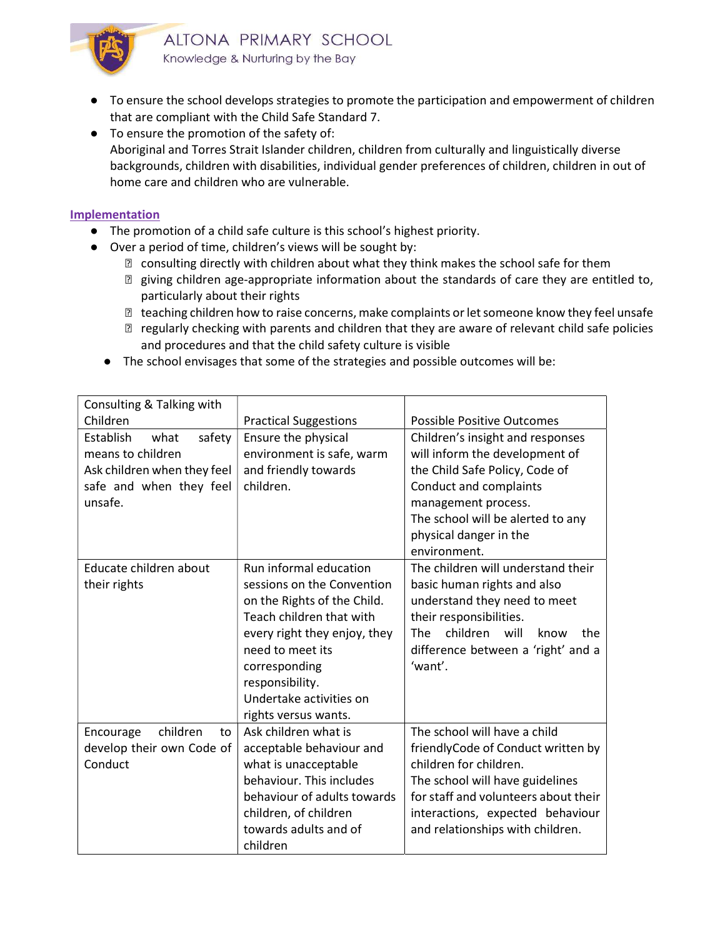

- To ensure the school develops strategies to promote the participation and empowerment of children that are compliant with the Child Safe Standard 7.
- To ensure the promotion of the safety of: Aboriginal and Torres Strait Islander children, children from culturally and linguistically diverse backgrounds, children with disabilities, individual gender preferences of children, children in out of home care and children who are vulnerable.

#### Implementation

- The promotion of a child safe culture is this school's highest priority.
- Over a period of time, children's views will be sought by:
	- consulting directly with children about what they think makes the school safe for them
	- ⋅ giving children age-appropriate information about the standards of care they are entitled to, particularly about their rights
	- ⋅ teaching children how to raise concerns, make complaints or let someone know they feel unsafe
	- ⋅ regularly checking with parents and children that they are aware of relevant child safe policies and procedures and that the child safety culture is visible
	- The school envisages that some of the strategies and possible outcomes will be:

| Consulting & Talking with          |                              |                                               |
|------------------------------------|------------------------------|-----------------------------------------------|
| Children                           | <b>Practical Suggestions</b> | Possible Positive Outcomes                    |
| safety<br><b>Establish</b><br>what | Ensure the physical          | Children's insight and responses              |
| means to children                  | environment is safe, warm    | will inform the development of                |
| Ask children when they feel        | and friendly towards         | the Child Safe Policy, Code of                |
| safe and when they feel            | children.                    | Conduct and complaints                        |
| unsafe.                            |                              | management process.                           |
|                                    |                              | The school will be alerted to any             |
|                                    |                              | physical danger in the                        |
|                                    |                              | environment.                                  |
| Educate children about             | Run informal education       | The children will understand their            |
| their rights                       | sessions on the Convention   | basic human rights and also                   |
|                                    | on the Rights of the Child.  | understand they need to meet                  |
|                                    | Teach children that with     | their responsibilities.                       |
|                                    | every right they enjoy, they | children<br><b>The</b><br>will<br>know<br>the |
|                                    | need to meet its             | difference between a 'right' and a            |
|                                    | corresponding                | 'want'.                                       |
|                                    | responsibility.              |                                               |
|                                    | Undertake activities on      |                                               |
|                                    | rights versus wants.         |                                               |
| children<br>Encourage<br>to        | Ask children what is         | The school will have a child                  |
| develop their own Code of          | acceptable behaviour and     | friendlyCode of Conduct written by            |
| Conduct                            | what is unacceptable         | children for children.                        |
|                                    | behaviour. This includes     | The school will have guidelines               |
|                                    | behaviour of adults towards  | for staff and volunteers about their          |
|                                    | children, of children        | interactions, expected behaviour              |
|                                    | towards adults and of        | and relationships with children.              |
|                                    | children                     |                                               |